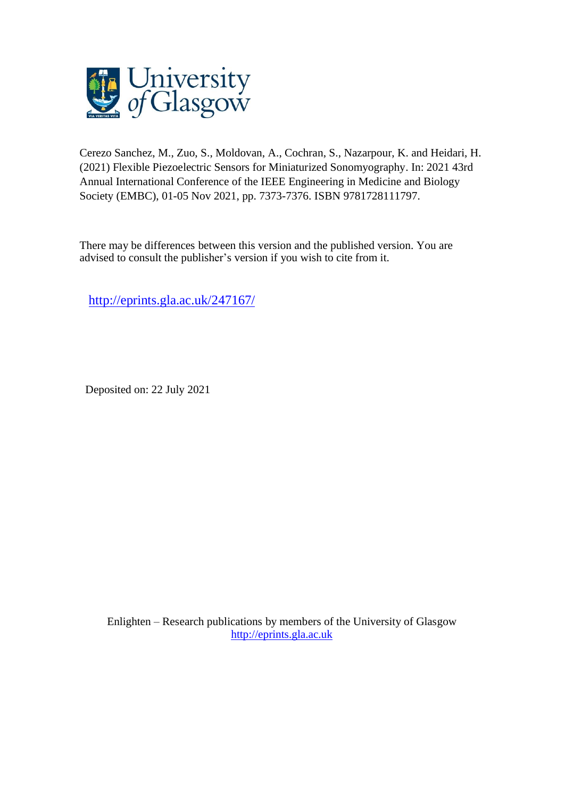

Cerezo Sanchez, M., Zuo, S., Moldovan, A., Cochran, S., Nazarpour, K. and Heidari, H. (2021) Flexible Piezoelectric Sensors for Miniaturized Sonomyography. In: 2021 43rd Annual International Conference of the IEEE Engineering in Medicine and Biology Society (EMBC), 01-05 Nov 2021, pp. 7373-7376. ISBN 9781728111797.

There may be differences between this version and the published version. You are advised to consult the publisher's version if you wish to cite from it.

<http://eprints.gla.ac.uk/247167/>

Deposited on: 22 July 2021

Enlighten – Research publications by members of the University of Glasgow [http://eprints.gla.ac.uk](http://eprints.gla.ac.uk/)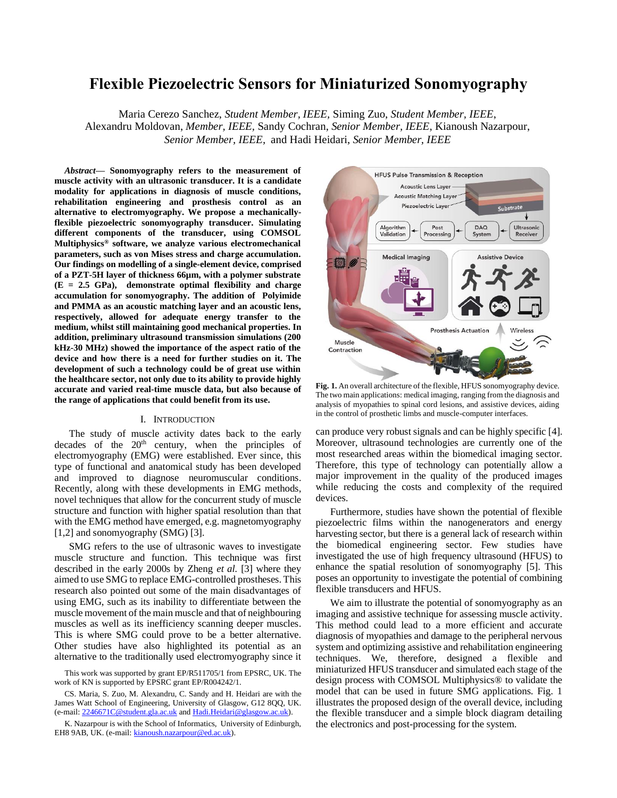# **Flexible Piezoelectric Sensors for Miniaturized Sonomyography**

Maria Cerezo Sanchez, *Student Member, IEEE,* Siming Zuo, *Student Member, IEEE*, Alexandru Moldovan, *Member, IEEE,* Sandy Cochran, *Senior Member, IEEE,* Kianoush Nazarpour, *Senior Member, IEEE,* and Hadi Heidari, *Senior Member, IEEE*

*Abstract***— Sonomyography refers to the measurement of muscle activity with an ultrasonic transducer. It is a candidate modality for applications in diagnosis of muscle conditions, rehabilitation engineering and prosthesis control as an alternative to electromyography. We propose a mechanicallyflexible piezoelectric sonomyography transducer. Simulating different components of the transducer, using COMSOL Multiphysics® software, we analyze various electromechanical parameters, such as von Mises stress and charge accumulation. Our findings on modelling of a single-element device, comprised of a PZT-5H layer of thickness 66µm, with a polymer substrate (E = 2.5 GPa), demonstrate optimal flexibility and charge accumulation for sonomyography. The addition of Polyimide and PMMA as an acoustic matching layer and an acoustic lens, respectively, allowed for adequate energy transfer to the medium, whilst still maintaining good mechanical properties. In addition, preliminary ultrasound transmission simulations (200 kHz-30 MHz) showed the importance of the aspect ratio of the device and how there is a need for further studies on it. The development of such a technology could be of great use within the healthcare sector, not only due to its ability to provide highly accurate and varied real-time muscle data, but also because of the range of applications that could benefit from its use.**

#### I. INTRODUCTION

The study of muscle activity dates back to the early decades of the  $20<sup>th</sup>$  century, when the principles of electromyography (EMG) were established. Ever since, this type of functional and anatomical study has been developed and improved to diagnose neuromuscular conditions. Recently, along with these developments in EMG methods, novel techniques that allow for the concurrent study of muscle structure and function with higher spatial resolution than that with the EMG method have emerged, e.g. magnetomyography [1,2] and sonomyography (SMG) [3].

SMG refers to the use of ultrasonic waves to investigate muscle structure and function. This technique was first described in the early 2000s by Zheng *et al.* [3] where they aimed to use SMG to replace EMG-controlled prostheses. This research also pointed out some of the main disadvantages of using EMG, such as its inability to differentiate between the muscle movement of the main muscle and that of neighbouring muscles as well as its inefficiency scanning deeper muscles. This is where SMG could prove to be a better alternative. Other studies have also highlighted its potential as an alternative to the traditionally used electromyography since it

This work was supported by grant EP/R511705/1 from EPSRC, UK. The work of KN is supported by EPSRC grant EP/R004242/1.

CS. Maria, S. Zuo, M. Alexandru, C. Sandy and H. Heidari are with the James Watt School of Engineering, University of Glasgow, G12 8QQ, UK. (e-mail[: 2246671C@student.gla.ac.uk](mailto:2246671C@student.gla.ac.uk) an[d Hadi.Heidari@glasgow.ac.uk\)](mailto:Hadi.Heidari@glasgow.ac.uk).

K. Nazarpour is with the School of Informatics, University of Edinburgh, EH8 9AB, UK. (e-mail[: kianoush.nazarpour@ed.ac.uk\)](mailto:kianoush.nazarpour@ed.ac.uk).



**Fig. 1.** An overall architecture of the flexible, HFUS sonomyography device. The two main applications: medical imaging, ranging from the diagnosis and analysis of myopathies to spinal cord lesions, and assistive devices, aiding in the control of prosthetic limbs and muscle-computer interfaces.

can produce very robust signals and can be highly specific [4]. Moreover, ultrasound technologies are currently one of the most researched areas within the biomedical imaging sector. Therefore, this type of technology can potentially allow a major improvement in the quality of the produced images while reducing the costs and complexity of the required devices.

Furthermore, studies have shown the potential of flexible piezoelectric films within the nanogenerators and energy harvesting sector, but there is a general lack of research within the biomedical engineering sector. Few studies have investigated the use of high frequency ultrasound (HFUS) to enhance the spatial resolution of sonomyography [5]. This poses an opportunity to investigate the potential of combining flexible transducers and HFUS.

We aim to illustrate the potential of sonomyography as an imaging and assistive technique for assessing muscle activity. This method could lead to a more efficient and accurate diagnosis of myopathies and damage to the peripheral nervous system and optimizing assistive and rehabilitation engineering techniques. We, therefore, designed a flexible and miniaturized HFUS transducer and simulated each stage of the design process with COMSOL Multiphysics® to validate the model that can be used in future SMG applications. Fig. 1 illustrates the proposed design of the overall device, including the flexible transducer and a simple block diagram detailing the electronics and post-processing for the system.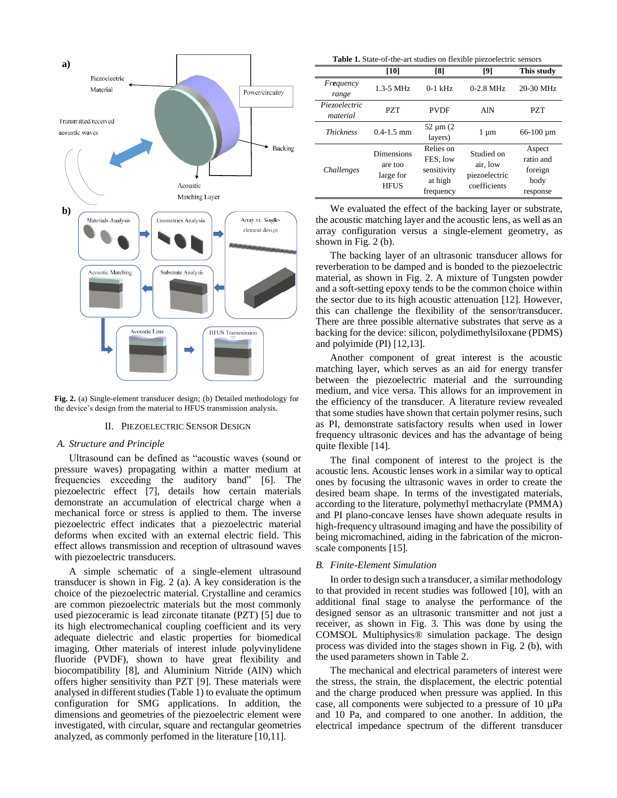

**Fig. 2.** (a) Single-element transducer design; (b) Detailed methodology for the device's design from the material to HFUS transmission analysis.

#### II. PIEZOELECTRIC SENSOR DESIGN

### *A. Structure and Principle*

Ultrasound can be defined as "acoustic waves (sound or pressure waves) propagating within a matter medium at frequencies exceeding the auditory band" [6]. The piezoelectric effect [7], details how certain materials demonstrate an accumulation of electrical charge when a mechanical force or stress is applied to them. The inverse piezoelectric effect indicates that a piezoelectric material deforms when excited with an external electric field. This effect allows transmission and reception of ultrasound waves with piezoelectric transducers.

A simple schematic of a single-element ultrasound transducer is shown in Fig. 2 (a). A key consideration is the choice of the piezoelectric material. Crystalline and ceramics are common piezoelectric materials but the most commonly used piezoceramic is lead zirconate titanate (PZT) [5] due to its high electromechanical coupling coefficient and its very adequate dielectric and elastic properties for biomedical imaging. Other materials of interest inlude polyvinylidene fluoride (PVDF), shown to have great flexibility and biocompatibility [8], and Aluminium Nitride (AIN) which offers higher sensitivity than PZT [9]. These materials were analysed in different studies (Table 1) to evaluate the optimum configuration for SMG applications. In addition, the dimensions and geometries of the piezoelectric element were investigated, with circular, square and rectangular geometries analyzed, as commonly perfomed in the literature [10,11].

**Table 1.** State-of-the-art studies on flexible piezoelectric sensors

|                           | [10]                                                     | [8]                                                          | [9]                                                     | This study                                         |
|---------------------------|----------------------------------------------------------|--------------------------------------------------------------|---------------------------------------------------------|----------------------------------------------------|
| Frequency<br>range        | $1.3 - 5$ MHz                                            | $0-1$ kHz                                                    | $0-2.8$ MHz                                             | 20-30 MHz                                          |
| Piezoelectric<br>material | PZT                                                      | <b>PVDF</b>                                                  | AlN                                                     | <b>PZT</b>                                         |
| <b>Thickness</b>          | $0.4 - 1.5$ mm                                           | $52 \mu m (2)$<br>layers)                                    | $1 \mu m$                                               | $66-100 \,\mathrm{\upmu m}$                        |
| <i>Challenges</i>         | <b>Dimensions</b><br>are too<br>large for<br><b>HFUS</b> | Relies on<br>FES, low<br>sensitivity<br>at high<br>frequency | Studied on<br>air, low<br>piezoelectric<br>coefficients | Aspect<br>ratio and<br>foreign<br>body<br>response |

We evaluated the effect of the backing layer or substrate, the acoustic matching layer and the acoustic lens, as well as an array configuration versus a single-element geometry, as shown in Fig. 2 (b).

The backing layer of an ultrasonic transducer allows for reverberation to be damped and is bonded to the piezoelectric material, as shown in Fig. 2. A mixture of Tungsten powder and a soft-setting epoxy tends to be the common choice within the sector due to its high acoustic attenuation [12]. However, this can challenge the flexibility of the sensor/transducer. There are three possible alternative substrates that serve as a backing for the device: silicon, polydimethylsiloxane (PDMS) and polyimide (PI) [12,13].

Another component of great interest is the acoustic matching layer, which serves as an aid for energy transfer between the piezoelectric material and the surrounding medium, and vice versa. This allows for an improvement in the efficiency of the transducer. A literature review revealed that some studies have shown that certain polymer resins, such as PI, demonstrate satisfactory results when used in lower frequency ultrasonic devices and has the advantage of being quite flexible [14].

The final component of interest to the project is the acoustic lens. Acoustic lenses work in a similar way to optical ones by focusing the ultrasonic waves in order to create the desired beam shape. In terms of the investigated materials, according to the literature, polymethyl methacrylate (PMMA) and PI plano-concave lenses have shown adequate results in high-frequency ultrasound imaging and have the possibility of being micromachined, aiding in the fabrication of the micronscale components [15].

#### *B. Finite-Element Simulation*

In order to design such a transducer, a similar methodology to that provided in recent studies was followed [10], with an additional final stage to analyse the performance of the designed sensor as an ultrasonic transmitter and not just a receiver, as shown in Fig. 3. This was done by using the COMSOL Multiphysics® simulation package. The design process was divided into the stages shown in Fig. 2 (b), with the used parameters shown in Table 2.

The mechanical and electrical parameters of interest were the stress, the strain, the displacement, the electric potential and the charge produced when pressure was applied. In this case, all components were subjected to a pressure of 10 µPa and 10 Pa, and compared to one another. In addition, the electrical impedance spectrum of the different transducer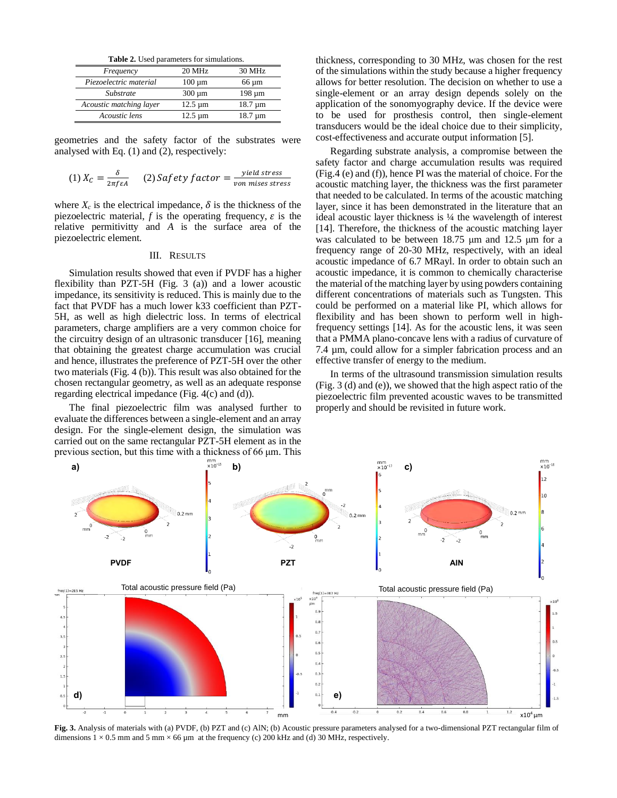| Frequency               | 20 MHz       | 30 MHz       |
|-------------------------|--------------|--------------|
| Piezoelectric material  | $100 \mu m$  | $66 \mu m$   |
| Substrate               | $300 \mu m$  | 198 um       |
| Acoustic matching layer | $12.5 \mu m$ | $18.7 \mu m$ |
| Acoustic lens           | $12.5 \mu m$ | $18.7 \mu m$ |

geometries and the safety factor of the substrates were analysed with Eq. (1) and (2), respectively:

(1) 
$$
X_C = \frac{\delta}{2\pi f \epsilon A}
$$
 (2) Safety factor =  $\frac{yield stress}{von misses stress}$ 

where  $X_c$  is the electrical impedance,  $\delta$  is the thickness of the piezoelectric material,  $f$  is the operating frequency,  $\varepsilon$  is the relative permitivitty and *A* is the surface area of the piezoelectric element.

# III. RESULTS

Simulation results showed that even if PVDF has a higher flexibility than PZT-5H (Fig. 3 (a)) and a lower acoustic impedance, its sensitivity is reduced. This is mainly due to the fact that PVDF has a much lower k33 coefficient than PZT-5H, as well as high dielectric loss. In terms of electrical parameters, charge amplifiers are a very common choice for the circuitry design of an ultrasonic transducer [16], meaning that obtaining the greatest charge accumulation was crucial and hence, illustrates the preference of PZT-5H over the other two materials (Fig. 4 (b)). This result was also obtained for the chosen rectangular geometry, as well as an adequate response regarding electrical impedance (Fig. 4(c) and (d)).

The final piezoelectric film was analysed further to evaluate the differences between a single-element and an array design. For the single-element design, the simulation was carried out on the same rectangular PZT-5H element as in the previous section, but this time with a thickness of 66 μm. This

thickness, corresponding to 30 MHz, was chosen for the rest of the simulations within the study because a higher frequency allows for better resolution. The decision on whether to use a single-element or an array design depends solely on the application of the sonomyography device. If the device were to be used for prosthesis control, then single-element transducers would be the ideal choice due to their simplicity, cost-effectiveness and accurate output information [5].

Regarding substrate analysis, a compromise between the safety factor and charge accumulation results was required (Fig.4 (e) and (f)), hence PI was the material of choice. For the acoustic matching layer, the thickness was the first parameter that needed to be calculated. In terms of the acoustic matching layer, since it has been demonstrated in the literature that an ideal acoustic layer thickness is ¼ the wavelength of interest [14]. Therefore, the thickness of the acoustic matching layer was calculated to be between 18.75 μm and 12.5 μm for a frequency range of 20-30 MHz, respectively, with an ideal acoustic impedance of 6.7 MRayl. In order to obtain such an acoustic impedance, it is common to chemically characterise the material of the matching layer by using powders containing different concentrations of materials such as Tungsten. This could be performed on a material like PI, which allows for flexibility and has been shown to perform well in highfrequency settings [14]. As for the acoustic lens, it was seen that a PMMA plano-concave lens with a radius of curvature of 7.4 µm, could allow for a simpler fabrication process and an effective transfer of energy to the medium.

In terms of the ultrasound transmission simulation results (Fig. 3 (d) and (e)), we showed that the high aspect ratio of the piezoelectric film prevented acoustic waves to be transmitted properly and should be revisited in future work.



**Fig. 3.** Analysis of materials with (a) PVDF, (b) PZT and (c) AlN; (b) Acoustic pressure parameters analysed for a two-dimensional PZT rectangular film of dimensions  $1 \times 0.5$  mm and 5 mm  $\times$  66 µm at the frequency (c) 200 kHz and (d) 30 MHz, respectively.